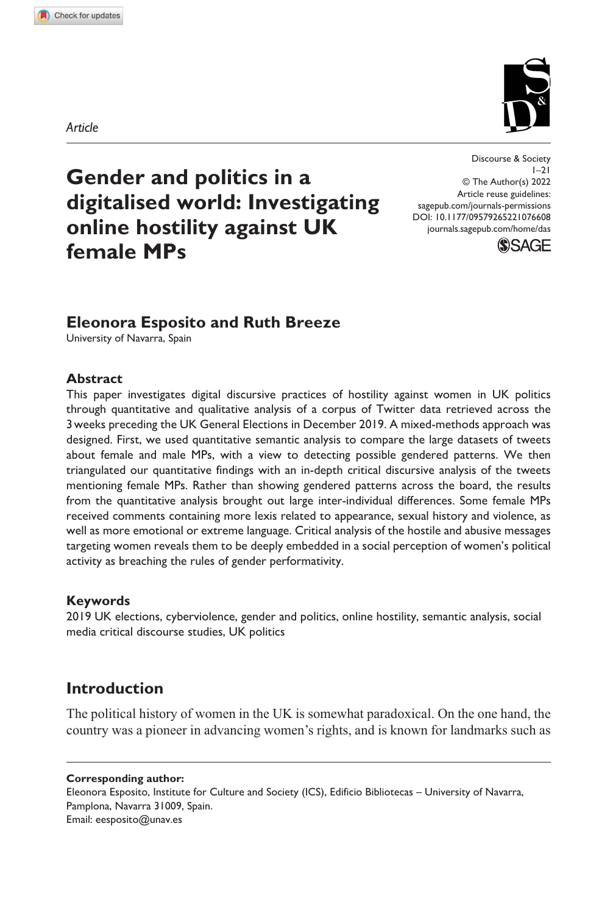*Article*

**1076[608](http://crossmark.crossref.org/dialog/?doi=10.1177%2F09579265221076608&domain=pdf&date_stamp=2022-03-15)** DAS0010.1177/09579265221076608Discourse & Society**Esposito and Breeze**

# **Gender and politics in a digitalised world: Investigating online hostility against UK female MPs**

DOI: 10.1177/09579265221076608 Discourse & Society  $|-2|$ © The Author(s) 2022 Article reuse guidelines: [sagepub.com/journals-permissions](https://uk.sagepub.com/en-gb/journals-permissions) [journals.sagepub.com/home/das](https://journals.sagepub.com/home/das)



# **Eleonora Esposito and Ruth Breeze**

University of Navarra, Spain

#### **Abstract**

This paper investigates digital discursive practices of hostility against women in UK politics through quantitative and qualitative analysis of a corpus of Twitter data retrieved across the 3weeks preceding the UK General Elections in December 2019. A mixed-methods approach was designed. First, we used quantitative semantic analysis to compare the large datasets of tweets about female and male MPs, with a view to detecting possible gendered patterns. We then triangulated our quantitative findings with an in-depth critical discursive analysis of the tweets mentioning female MPs. Rather than showing gendered patterns across the board, the results from the quantitative analysis brought out large inter-individual differences. Some female MPs received comments containing more lexis related to appearance, sexual history and violence, as well as more emotional or extreme language. Critical analysis of the hostile and abusive messages targeting women reveals them to be deeply embedded in a social perception of women's political activity as breaching the rules of gender performativity.

## **Keywords**

2019 UK elections, cyberviolence, gender and politics, online hostility, semantic analysis, social media critical discourse studies, UK politics

# **Introduction**

The political history of women in the UK is somewhat paradoxical. On the one hand, the country was a pioneer in advancing women's rights, and is known for landmarks such as

**Corresponding author:**

Eleonora Esposito, Institute for Culture and Society (ICS), Edificio Bibliotecas – University of Navarra, Pamplona, Navarra 31009, Spain. Email: [eesposito@unav.es](mailto:eesposito@unav.es)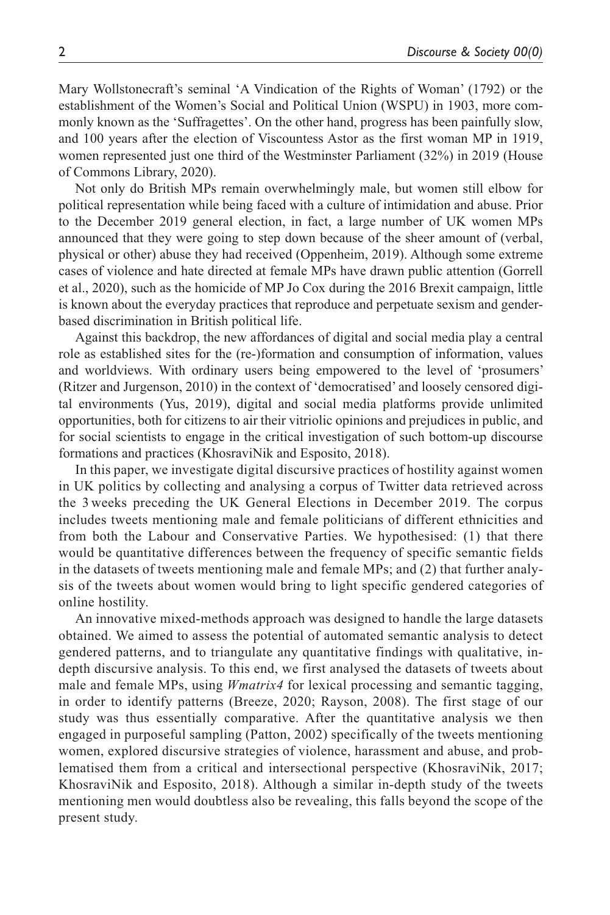Mary Wollstonecraft's seminal 'A Vindication of the Rights of Woman' (1792) or the establishment of the Women's Social and Political Union (WSPU) in 1903, more commonly known as the 'Suffragettes'. On the other hand, progress has been painfully slow, and 100 years after the election of Viscountess Astor as the first woman MP in 1919, women represented just one third of the Westminster Parliament (32%) in 2019 (House of Commons Library, 2020).

Not only do British MPs remain overwhelmingly male, but women still elbow for political representation while being faced with a culture of intimidation and abuse. Prior to the December 2019 general election, in fact, a large number of UK women MPs announced that they were going to step down because of the sheer amount of (verbal, physical or other) abuse they had received (Oppenheim, 2019). Although some extreme cases of violence and hate directed at female MPs have drawn public attention (Gorrell et al., 2020), such as the homicide of MP Jo Cox during the 2016 Brexit campaign, little is known about the everyday practices that reproduce and perpetuate sexism and genderbased discrimination in British political life.

Against this backdrop, the new affordances of digital and social media play a central role as established sites for the (re-)formation and consumption of information, values and worldviews. With ordinary users being empowered to the level of 'prosumers' (Ritzer and Jurgenson, 2010) in the context of 'democratised' and loosely censored digital environments (Yus, 2019), digital and social media platforms provide unlimited opportunities, both for citizens to air their vitriolic opinions and prejudices in public, and for social scientists to engage in the critical investigation of such bottom-up discourse formations and practices (KhosraviNik and Esposito, 2018).

In this paper, we investigate digital discursive practices of hostility against women in UK politics by collecting and analysing a corpus of Twitter data retrieved across the 3 weeks preceding the UK General Elections in December 2019. The corpus includes tweets mentioning male and female politicians of different ethnicities and from both the Labour and Conservative Parties. We hypothesised: (1) that there would be quantitative differences between the frequency of specific semantic fields in the datasets of tweets mentioning male and female MPs; and (2) that further analysis of the tweets about women would bring to light specific gendered categories of online hostility.

An innovative mixed-methods approach was designed to handle the large datasets obtained. We aimed to assess the potential of automated semantic analysis to detect gendered patterns, and to triangulate any quantitative findings with qualitative, indepth discursive analysis. To this end, we first analysed the datasets of tweets about male and female MPs, using *Wmatrix4* for lexical processing and semantic tagging, in order to identify patterns (Breeze, 2020; Rayson, 2008). The first stage of our study was thus essentially comparative. After the quantitative analysis we then engaged in purposeful sampling (Patton, 2002) specifically of the tweets mentioning women, explored discursive strategies of violence, harassment and abuse, and problematised them from a critical and intersectional perspective (KhosraviNik, 2017; KhosraviNik and Esposito, 2018). Although a similar in-depth study of the tweets mentioning men would doubtless also be revealing, this falls beyond the scope of the present study.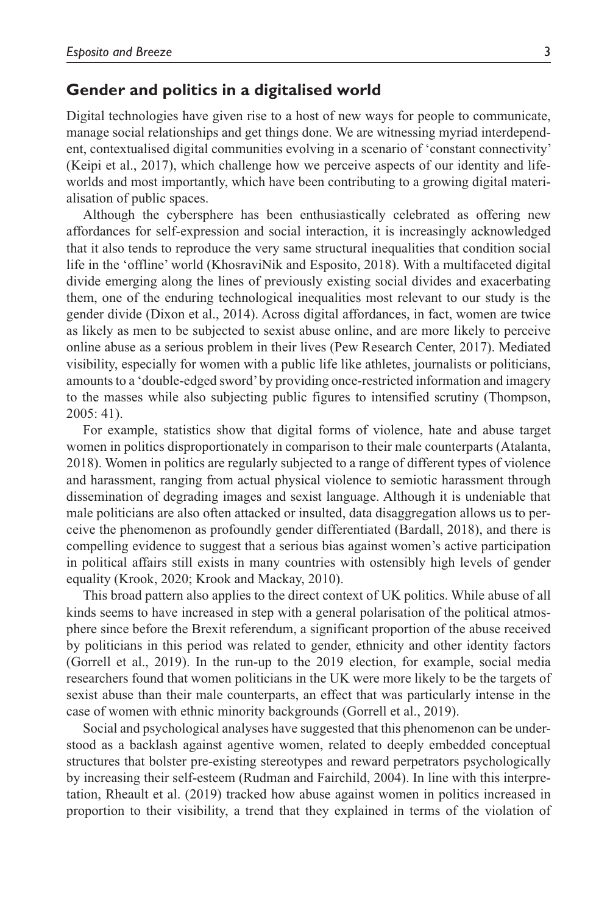# **Gender and politics in a digitalised world**

Digital technologies have given rise to a host of new ways for people to communicate, manage social relationships and get things done. We are witnessing myriad interdependent, contextualised digital communities evolving in a scenario of 'constant connectivity' (Keipi et al., 2017), which challenge how we perceive aspects of our identity and lifeworlds and most importantly, which have been contributing to a growing digital materialisation of public spaces.

Although the cybersphere has been enthusiastically celebrated as offering new affordances for self-expression and social interaction, it is increasingly acknowledged that it also tends to reproduce the very same structural inequalities that condition social life in the 'offline' world (KhosraviNik and Esposito, 2018). With a multifaceted digital divide emerging along the lines of previously existing social divides and exacerbating them, one of the enduring technological inequalities most relevant to our study is the gender divide (Dixon et al., 2014). Across digital affordances, in fact, women are twice as likely as men to be subjected to sexist abuse online, and are more likely to perceive online abuse as a serious problem in their lives (Pew Research Center, 2017). Mediated visibility, especially for women with a public life like athletes, journalists or politicians, amounts to a 'double-edged sword' by providing once-restricted information and imagery to the masses while also subjecting public figures to intensified scrutiny (Thompson, 2005: 41).

For example, statistics show that digital forms of violence, hate and abuse target women in politics disproportionately in comparison to their male counterparts (Atalanta, 2018). Women in politics are regularly subjected to a range of different types of violence and harassment, ranging from actual physical violence to semiotic harassment through dissemination of degrading images and sexist language. Although it is undeniable that male politicians are also often attacked or insulted, data disaggregation allows us to perceive the phenomenon as profoundly gender differentiated (Bardall, 2018), and there is compelling evidence to suggest that a serious bias against women's active participation in political affairs still exists in many countries with ostensibly high levels of gender equality (Krook, 2020; Krook and Mackay, 2010).

This broad pattern also applies to the direct context of UK politics. While abuse of all kinds seems to have increased in step with a general polarisation of the political atmosphere since before the Brexit referendum, a significant proportion of the abuse received by politicians in this period was related to gender, ethnicity and other identity factors (Gorrell et al., 2019). In the run-up to the 2019 election, for example, social media researchers found that women politicians in the UK were more likely to be the targets of sexist abuse than their male counterparts, an effect that was particularly intense in the case of women with ethnic minority backgrounds (Gorrell et al., 2019).

Social and psychological analyses have suggested that this phenomenon can be understood as a backlash against agentive women, related to deeply embedded conceptual structures that bolster pre-existing stereotypes and reward perpetrators psychologically by increasing their self-esteem (Rudman and Fairchild, 2004). In line with this interpretation, Rheault et al. (2019) tracked how abuse against women in politics increased in proportion to their visibility, a trend that they explained in terms of the violation of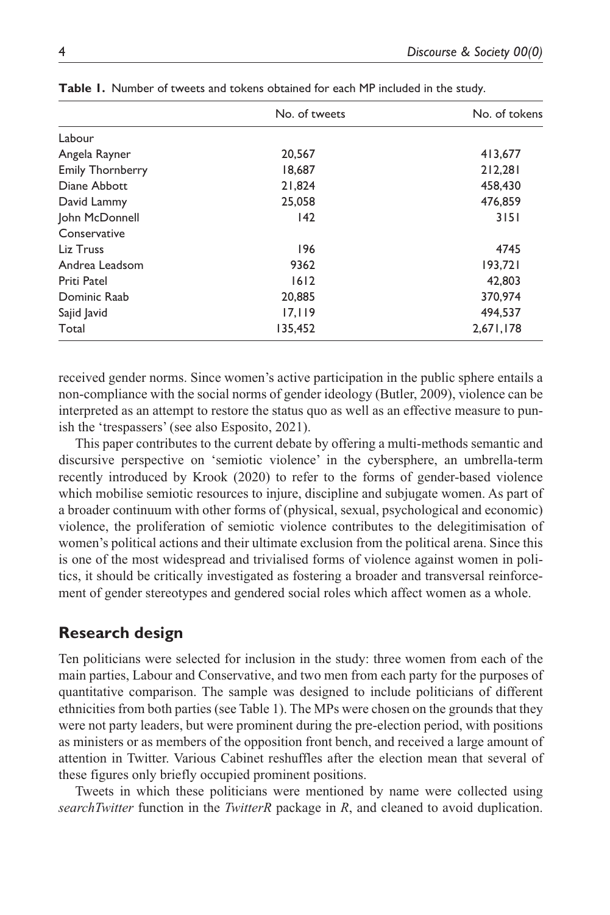|                         | No. of tweets | No. of tokens |
|-------------------------|---------------|---------------|
| Labour                  |               |               |
| Angela Rayner           | 20.567        | 413,677       |
| <b>Emily Thornberry</b> | 18,687        | 212,281       |
| Diane Abbott            | 21,824        | 458,430       |
| David Lammy             | 25,058        | 476,859       |
| John McDonnell          | 142           | 3151          |
| Conservative            |               |               |
| Liz Truss               | 196           | 4745          |
| Andrea Leadsom          | 9362          | 193,721       |
| Priti Patel             | 1612          | 42.803        |
| Dominic Raab            | 20,885        | 370,974       |
| Sajid Javid             | 17, 119       | 494,537       |
| Total                   | 135,452       | 2,671,178     |

**Table 1.** Number of tweets and tokens obtained for each MP included in the study.

received gender norms. Since women's active participation in the public sphere entails a non-compliance with the social norms of gender ideology (Butler, 2009), violence can be interpreted as an attempt to restore the status quo as well as an effective measure to punish the 'trespassers' (see also Esposito, 2021).

This paper contributes to the current debate by offering a multi-methods semantic and discursive perspective on 'semiotic violence' in the cybersphere, an umbrella-term recently introduced by Krook (2020) to refer to the forms of gender-based violence which mobilise semiotic resources to injure, discipline and subjugate women. As part of a broader continuum with other forms of (physical, sexual, psychological and economic) violence, the proliferation of semiotic violence contributes to the delegitimisation of women's political actions and their ultimate exclusion from the political arena. Since this is one of the most widespread and trivialised forms of violence against women in politics, it should be critically investigated as fostering a broader and transversal reinforcement of gender stereotypes and gendered social roles which affect women as a whole.

# **Research design**

Ten politicians were selected for inclusion in the study: three women from each of the main parties, Labour and Conservative, and two men from each party for the purposes of quantitative comparison. The sample was designed to include politicians of different ethnicities from both parties (see Table 1). The MPs were chosen on the grounds that they were not party leaders, but were prominent during the pre-election period, with positions as ministers or as members of the opposition front bench, and received a large amount of attention in Twitter. Various Cabinet reshuffles after the election mean that several of these figures only briefly occupied prominent positions.

Tweets in which these politicians were mentioned by name were collected using *searchTwitter* function in the *TwitterR* package in *R*, and cleaned to avoid duplication.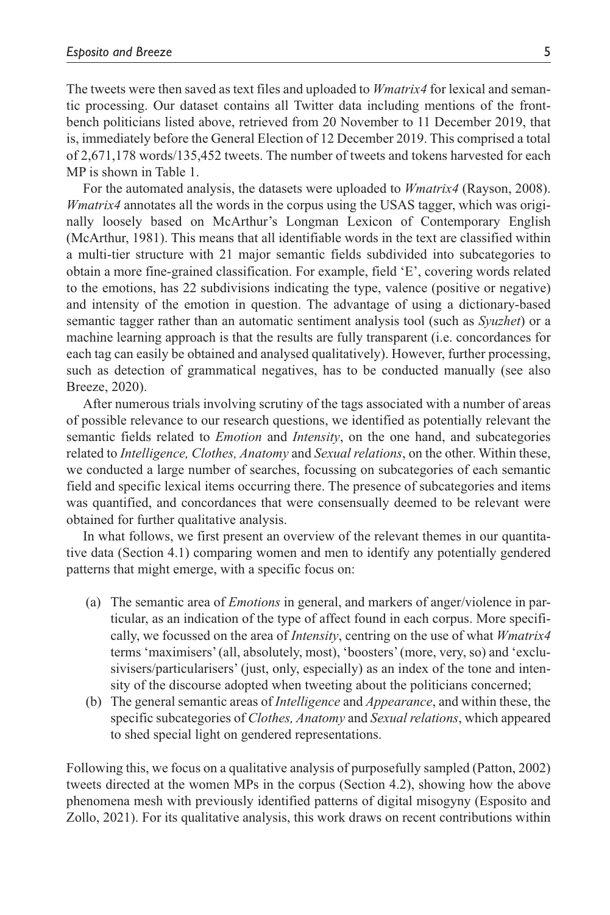The tweets were then saved as text files and uploaded to *Wmatrix4* for lexical and semantic processing. Our dataset contains all Twitter data including mentions of the frontbench politicians listed above, retrieved from 20 November to 11 December 2019, that is, immediately before the General Election of 12 December 2019. This comprised a total of 2,671,178 words/135,452 tweets. The number of tweets and tokens harvested for each MP is shown in Table 1.

For the automated analysis, the datasets were uploaded to *Wmatrix4* (Rayson, 2008). *Wmatrix4* annotates all the words in the corpus using the USAS tagger, which was originally loosely based on McArthur's Longman Lexicon of Contemporary English (McArthur, 1981). This means that all identifiable words in the text are classified within a multi-tier structure with 21 major semantic fields subdivided into subcategories to obtain a more fine-grained classification. For example, field 'E', covering words related to the emotions, has 22 subdivisions indicating the type, valence (positive or negative) and intensity of the emotion in question. The advantage of using a dictionary-based semantic tagger rather than an automatic sentiment analysis tool (such as *Syuzhet*) or a machine learning approach is that the results are fully transparent (i.e. concordances for each tag can easily be obtained and analysed qualitatively). However, further processing, such as detection of grammatical negatives, has to be conducted manually (see also Breeze, 2020).

After numerous trials involving scrutiny of the tags associated with a number of areas of possible relevance to our research questions, we identified as potentially relevant the semantic fields related to *Emotion* and *Intensity*, on the one hand, and subcategories related to *Intelligence, Clothes, Anatomy* and *Sexual relations*, on the other. Within these, we conducted a large number of searches, focussing on subcategories of each semantic field and specific lexical items occurring there. The presence of subcategories and items was quantified, and concordances that were consensually deemed to be relevant were obtained for further qualitative analysis.

In what follows, we first present an overview of the relevant themes in our quantitative data (Section 4.1) comparing women and men to identify any potentially gendered patterns that might emerge, with a specific focus on:

- (a) The semantic area of *Emotions* in general, and markers of anger/violence in particular, as an indication of the type of affect found in each corpus. More specifically, we focussed on the area of *Intensity*, centring on the use of what *Wmatrix4* terms 'maximisers' (all, absolutely, most), 'boosters' (more, very, so) and 'exclusivisers/particularisers' (just, only, especially) as an index of the tone and intensity of the discourse adopted when tweeting about the politicians concerned;
- (b) The general semantic areas of *Intelligence* and *Appearance*, and within these, the specific subcategories of *Clothes, Anatomy* and *Sexual relations*, which appeared to shed special light on gendered representations.

Following this, we focus on a qualitative analysis of purposefully sampled (Patton, 2002) tweets directed at the women MPs in the corpus (Section 4.2), showing how the above phenomena mesh with previously identified patterns of digital misogyny (Esposito and Zollo, 2021). For its qualitative analysis, this work draws on recent contributions within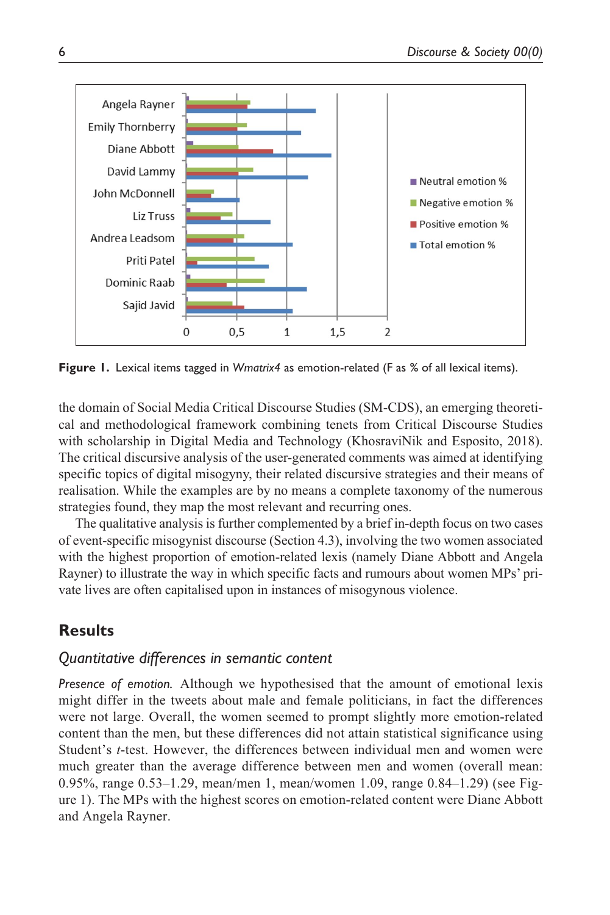

**Figure 1.** Lexical items tagged in *Wmatrix4* as emotion-related (F as % of all lexical items).

the domain of Social Media Critical Discourse Studies (SM-CDS), an emerging theoretical and methodological framework combining tenets from Critical Discourse Studies with scholarship in Digital Media and Technology (KhosraviNik and Esposito, 2018). The critical discursive analysis of the user-generated comments was aimed at identifying specific topics of digital misogyny, their related discursive strategies and their means of realisation. While the examples are by no means a complete taxonomy of the numerous strategies found, they map the most relevant and recurring ones.

The qualitative analysis is further complemented by a brief in-depth focus on two cases of event-specific misogynist discourse (Section 4.3), involving the two women associated with the highest proportion of emotion-related lexis (namely Diane Abbott and Angela Rayner) to illustrate the way in which specific facts and rumours about women MPs' private lives are often capitalised upon in instances of misogynous violence.

# **Results**

# *Quantitative differences in semantic content*

*Presence of emotion.* Although we hypothesised that the amount of emotional lexis might differ in the tweets about male and female politicians, in fact the differences were not large. Overall, the women seemed to prompt slightly more emotion-related content than the men, but these differences did not attain statistical significance using Student's *t*-test. However, the differences between individual men and women were much greater than the average difference between men and women (overall mean: 0.95%, range 0.53–1.29, mean/men 1, mean/women 1.09, range 0.84–1.29) (see Figure 1). The MPs with the highest scores on emotion-related content were Diane Abbott and Angela Rayner.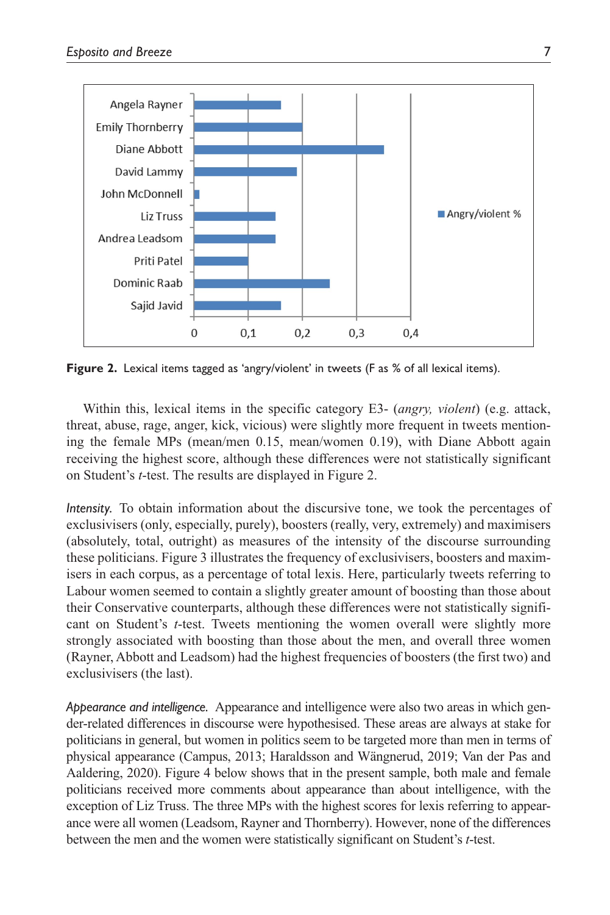

**Figure 2.** Lexical items tagged as 'angry/violent' in tweets (F as % of all lexical items).

Within this, lexical items in the specific category E3- (*angry, violent*) (e.g. attack, threat, abuse, rage, anger, kick, vicious) were slightly more frequent in tweets mentioning the female MPs (mean/men 0.15, mean/women 0.19), with Diane Abbott again receiving the highest score, although these differences were not statistically significant on Student's *t*-test. The results are displayed in Figure 2.

*Intensity.* To obtain information about the discursive tone, we took the percentages of exclusivisers (only, especially, purely), boosters (really, very, extremely) and maximisers (absolutely, total, outright) as measures of the intensity of the discourse surrounding these politicians. Figure 3 illustrates the frequency of exclusivisers, boosters and maximisers in each corpus, as a percentage of total lexis. Here, particularly tweets referring to Labour women seemed to contain a slightly greater amount of boosting than those about their Conservative counterparts, although these differences were not statistically significant on Student's *t*-test. Tweets mentioning the women overall were slightly more strongly associated with boosting than those about the men, and overall three women (Rayner, Abbott and Leadsom) had the highest frequencies of boosters (the first two) and exclusivisers (the last).

*Appearance and intelligence.* Appearance and intelligence were also two areas in which gender-related differences in discourse were hypothesised. These areas are always at stake for politicians in general, but women in politics seem to be targeted more than men in terms of physical appearance (Campus, 2013; Haraldsson and Wängnerud, 2019; Van der Pas and Aaldering, 2020). Figure 4 below shows that in the present sample, both male and female politicians received more comments about appearance than about intelligence, with the exception of Liz Truss. The three MPs with the highest scores for lexis referring to appearance were all women (Leadsom, Rayner and Thornberry). However, none of the differences between the men and the women were statistically significant on Student's *t*-test.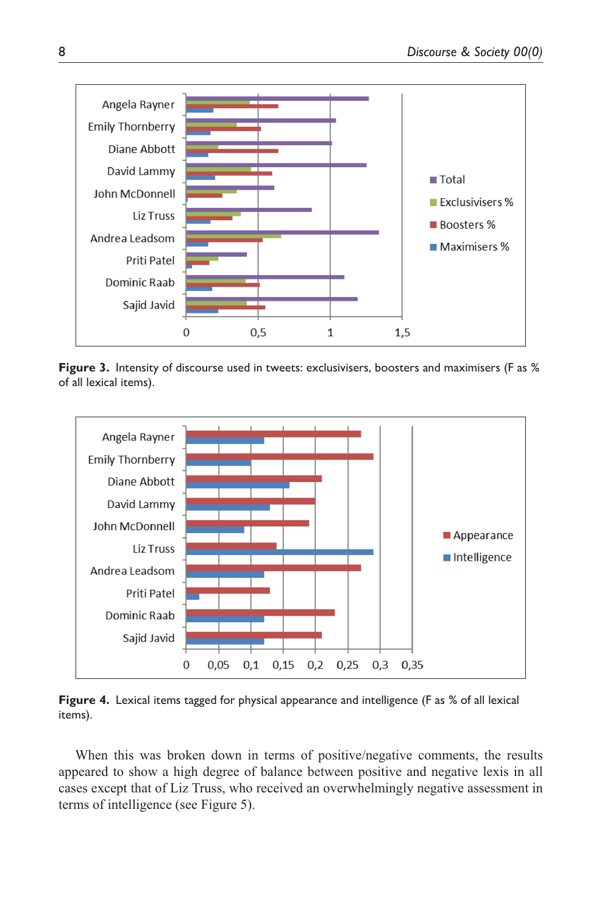

**Figure 3.** Intensity of discourse used in tweets: exclusivisers, boosters and maximisers (F as % of all lexical items).



**Figure 4.** Lexical items tagged for physical appearance and intelligence (F as % of all lexical items).

When this was broken down in terms of positive/negative comments, the results appeared to show a high degree of balance between positive and negative lexis in all cases except that of Liz Truss, who received an overwhelmingly negative assessment in terms of intelligence (see Figure 5).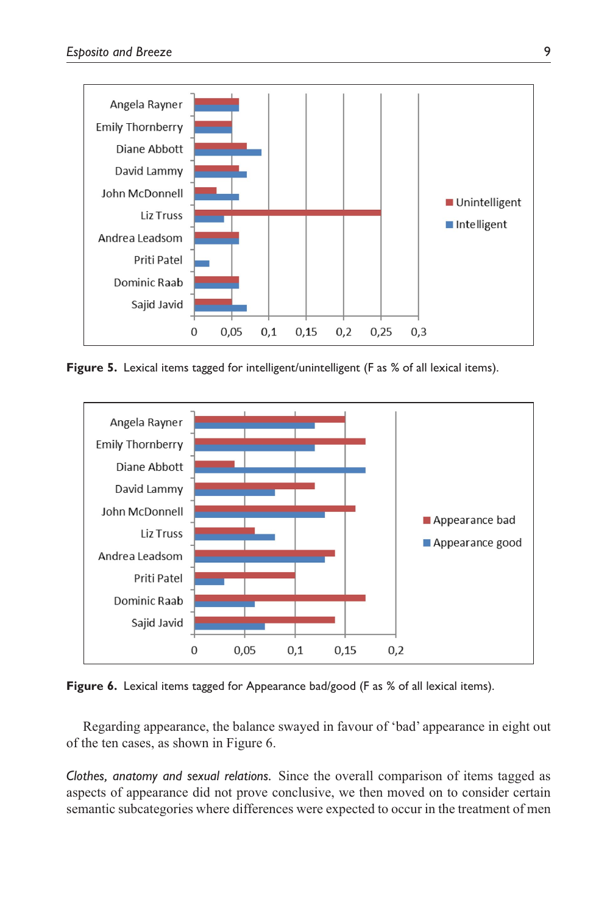

Figure 5. Lexical items tagged for intelligent/unintelligent (F as % of all lexical items).



Figure 6. Lexical items tagged for Appearance bad/good (F as % of all lexical items).

Regarding appearance, the balance swayed in favour of 'bad' appearance in eight out of the ten cases, as shown in Figure 6.

*Clothes, anatomy and sexual relations.* Since the overall comparison of items tagged as aspects of appearance did not prove conclusive, we then moved on to consider certain semantic subcategories where differences were expected to occur in the treatment of men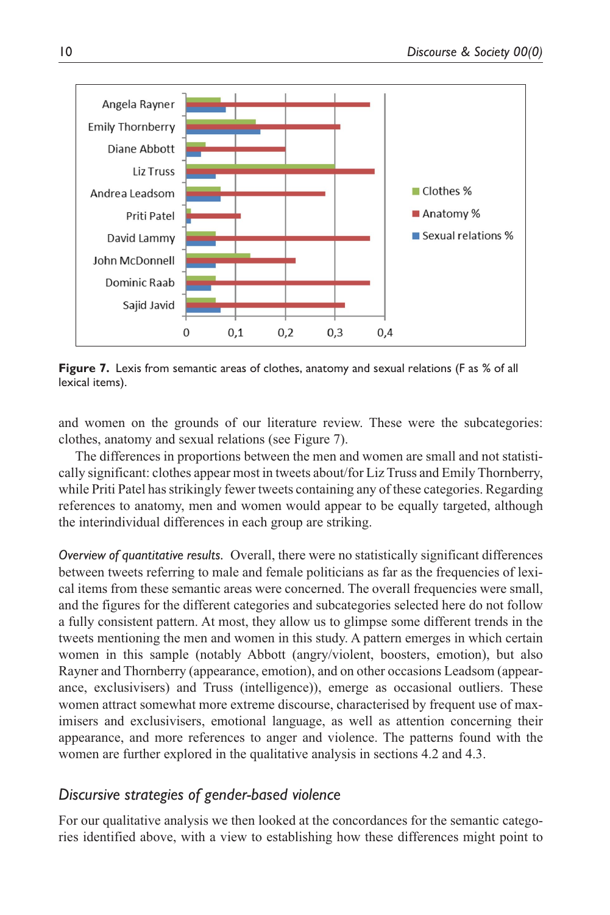

**Figure 7.** Lexis from semantic areas of clothes, anatomy and sexual relations (F as % of all lexical items).

and women on the grounds of our literature review. These were the subcategories: clothes, anatomy and sexual relations (see Figure 7).

The differences in proportions between the men and women are small and not statistically significant: clothes appear most in tweets about/for Liz Truss and Emily Thornberry, while Priti Patel has strikingly fewer tweets containing any of these categories. Regarding references to anatomy, men and women would appear to be equally targeted, although the interindividual differences in each group are striking.

*Overview of quantitative results.* Overall, there were no statistically significant differences between tweets referring to male and female politicians as far as the frequencies of lexical items from these semantic areas were concerned. The overall frequencies were small, and the figures for the different categories and subcategories selected here do not follow a fully consistent pattern. At most, they allow us to glimpse some different trends in the tweets mentioning the men and women in this study. A pattern emerges in which certain women in this sample (notably Abbott (angry/violent, boosters, emotion), but also Rayner and Thornberry (appearance, emotion), and on other occasions Leadsom (appearance, exclusivisers) and Truss (intelligence)), emerge as occasional outliers. These women attract somewhat more extreme discourse, characterised by frequent use of maximisers and exclusivisers, emotional language, as well as attention concerning their appearance, and more references to anger and violence. The patterns found with the women are further explored in the qualitative analysis in sections 4.2 and 4.3.

# *Discursive strategies of gender-based violence*

For our qualitative analysis we then looked at the concordances for the semantic categories identified above, with a view to establishing how these differences might point to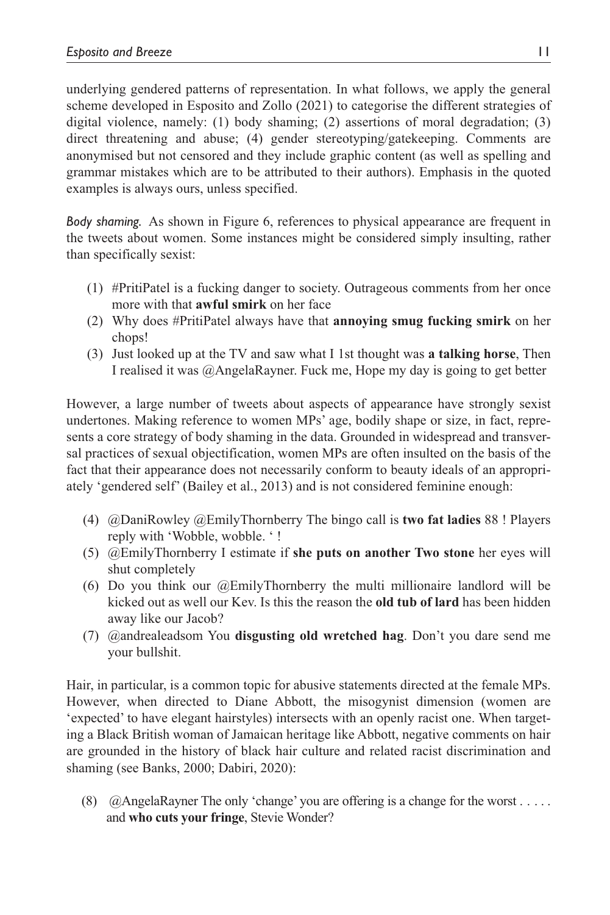underlying gendered patterns of representation. In what follows, we apply the general scheme developed in Esposito and Zollo (2021) to categorise the different strategies of digital violence, namely: (1) body shaming; (2) assertions of moral degradation; (3) direct threatening and abuse; (4) gender stereotyping/gatekeeping. Comments are anonymised but not censored and they include graphic content (as well as spelling and grammar mistakes which are to be attributed to their authors). Emphasis in the quoted examples is always ours, unless specified.

*Body shaming.* As shown in Figure 6, references to physical appearance are frequent in the tweets about women. Some instances might be considered simply insulting, rather than specifically sexist:

- (1) #PritiPatel is a fucking danger to society. Outrageous comments from her once more with that **awful smirk** on her face
- (2) Why does #PritiPatel always have that **annoying smug fucking smirk** on her chops!
- (3) Just looked up at the TV and saw what I 1st thought was **a talking horse**, Then I realised it was @AngelaRayner. Fuck me, Hope my day is going to get better

However, a large number of tweets about aspects of appearance have strongly sexist undertones. Making reference to women MPs' age, bodily shape or size, in fact, represents a core strategy of body shaming in the data. Grounded in widespread and transversal practices of sexual objectification, women MPs are often insulted on the basis of the fact that their appearance does not necessarily conform to beauty ideals of an appropriately 'gendered self' (Bailey et al., 2013) and is not considered feminine enough:

- (4) @DaniRowley @EmilyThornberry The bingo call is **two fat ladies** 88 ! Players reply with 'Wobble, wobble. ' !
- (5) @EmilyThornberry I estimate if **she puts on another Two stone** her eyes will shut completely
- (6) Do you think our @EmilyThornberry the multi millionaire landlord will be kicked out as well our Kev. Is this the reason the **old tub of lard** has been hidden away like our Jacob?
- (7) @andrealeadsom You **disgusting old wretched hag**. Don't you dare send me your bullshit.

Hair, in particular, is a common topic for abusive statements directed at the female MPs. However, when directed to Diane Abbott, the misogynist dimension (women are 'expected' to have elegant hairstyles) intersects with an openly racist one. When targeting a Black British woman of Jamaican heritage like Abbott, negative comments on hair are grounded in the history of black hair culture and related racist discrimination and shaming (see Banks, 2000; Dabiri, 2020):

(8)  $@$ AngelaRayner The only 'change' you are offering is a change for the worst . . . . . and **who cuts your fringe**, Stevie Wonder?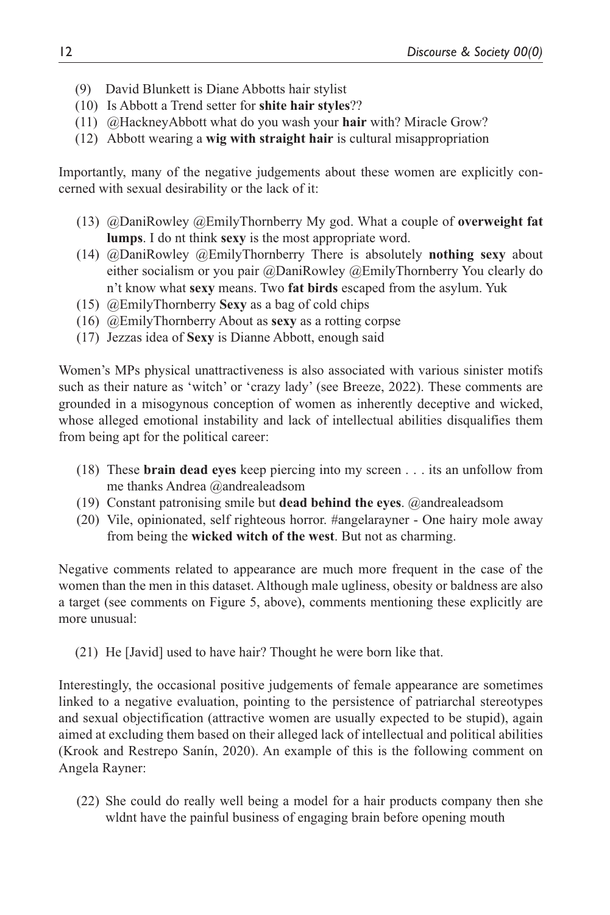- (9) David Blunkett is Diane Abbotts hair stylist
- (10) Is Abbott a Trend setter for **shite hair styles**??
- (11) @HackneyAbbott what do you wash your **hair** with? Miracle Grow?
- (12) Abbott wearing a **wig with straight hair** is cultural misappropriation

Importantly, many of the negative judgements about these women are explicitly concerned with sexual desirability or the lack of it:

- (13) @DaniRowley @EmilyThornberry My god. What a couple of **overweight fat lumps**. I do nt think **sexy** is the most appropriate word.
- (14) @DaniRowley @EmilyThornberry There is absolutely **nothing sexy** about either socialism or you pair @DaniRowley @EmilyThornberry You clearly do n't know what **sexy** means. Two **fat birds** escaped from the asylum. Yuk
- (15) @EmilyThornberry **Sexy** as a bag of cold chips
- (16) @EmilyThornberry About as **sexy** as a rotting corpse
- (17) Jezzas idea of **Sexy** is Dianne Abbott, enough said

Women's MPs physical unattractiveness is also associated with various sinister motifs such as their nature as 'witch' or 'crazy lady' (see Breeze, 2022). These comments are grounded in a misogynous conception of women as inherently deceptive and wicked, whose alleged emotional instability and lack of intellectual abilities disqualifies them from being apt for the political career:

- (18) These **brain dead eyes** keep piercing into my screen . . . its an unfollow from me thanks Andrea @andrealeadsom
- (19) Constant patronising smile but **dead behind the eyes**. @andrealeadsom
- (20) Vile, opinionated, self righteous horror. #angelarayner One hairy mole away from being the **wicked witch of the west**. But not as charming.

Negative comments related to appearance are much more frequent in the case of the women than the men in this dataset. Although male ugliness, obesity or baldness are also a target (see comments on Figure 5, above), comments mentioning these explicitly are more unusual:

(21) He [Javid] used to have hair? Thought he were born like that.

Interestingly, the occasional positive judgements of female appearance are sometimes linked to a negative evaluation, pointing to the persistence of patriarchal stereotypes and sexual objectification (attractive women are usually expected to be stupid), again aimed at excluding them based on their alleged lack of intellectual and political abilities (Krook and Restrepo Sanín, 2020). An example of this is the following comment on Angela Rayner:

(22) She could do really well being a model for a hair products company then she wldnt have the painful business of engaging brain before opening mouth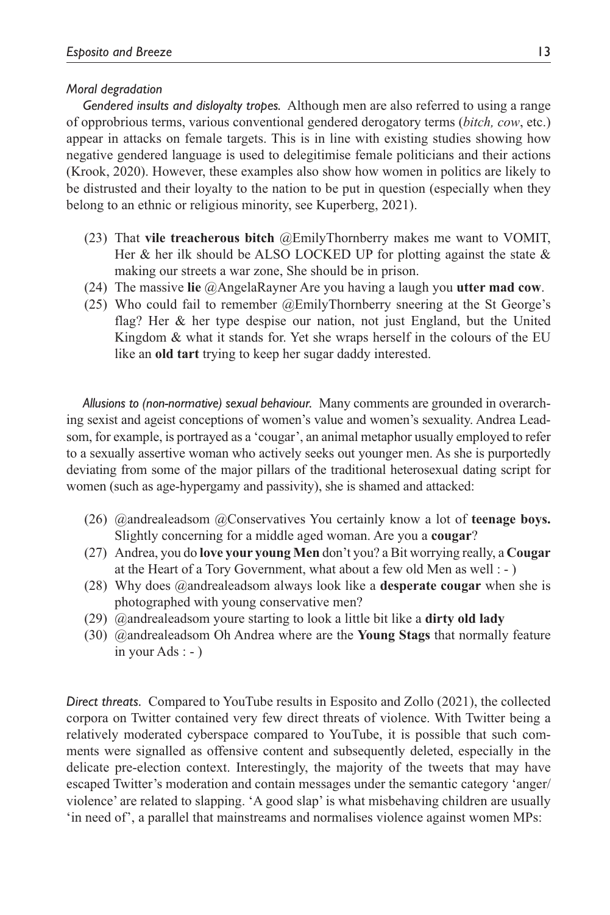#### *Moral degradation*

*Gendered insults and disloyalty tropes.* Although men are also referred to using a range of opprobrious terms, various conventional gendered derogatory terms (*bitch, cow*, etc.) appear in attacks on female targets. This is in line with existing studies showing how negative gendered language is used to delegitimise female politicians and their actions (Krook, 2020). However, these examples also show how women in politics are likely to be distrusted and their loyalty to the nation to be put in question (especially when they belong to an ethnic or religious minority, see Kuperberg, 2021).

- (23) That **vile treacherous bitch** @EmilyThornberry makes me want to VOMIT, Her & her ilk should be ALSO LOCKED UP for plotting against the state  $\&$ making our streets a war zone, She should be in prison.
- (24) The massive **lie** @AngelaRayner Are you having a laugh you **utter mad cow**.
- (25) Who could fail to remember @EmilyThornberry sneering at the St George's flag? Her & her type despise our nation, not just England, but the United Kingdom & what it stands for. Yet she wraps herself in the colours of the EU like an **old tart** trying to keep her sugar daddy interested.

*Allusions to (non-normative) sexual behaviour.* Many comments are grounded in overarching sexist and ageist conceptions of women's value and women's sexuality. Andrea Leadsom, for example, is portrayed as a 'cougar', an animal metaphor usually employed to refer to a sexually assertive woman who actively seeks out younger men. As she is purportedly deviating from some of the major pillars of the traditional heterosexual dating script for women (such as age-hypergamy and passivity), she is shamed and attacked:

- (26) @andrealeadsom @Conservatives You certainly know a lot of **teenage boys.** Slightly concerning for a middle aged woman. Are you a **cougar**?
- (27) Andrea, you do **love your young Men** don't you? a Bit worrying really, a **Cougar** at the Heart of a Tory Government, what about a few old Men as well : - )
- (28) Why does @andrealeadsom always look like a **desperate cougar** when she is photographed with young conservative men?
- (29) @andrealeadsom youre starting to look a little bit like a **dirty old lady**
- (30) @andrealeadsom Oh Andrea where are the **Young Stags** that normally feature in your Ads : - )

*Direct threats.* Compared to YouTube results in Esposito and Zollo (2021), the collected corpora on Twitter contained very few direct threats of violence. With Twitter being a relatively moderated cyberspace compared to YouTube, it is possible that such comments were signalled as offensive content and subsequently deleted, especially in the delicate pre-election context. Interestingly, the majority of the tweets that may have escaped Twitter's moderation and contain messages under the semantic category 'anger/ violence' are related to slapping. 'A good slap' is what misbehaving children are usually 'in need of', a parallel that mainstreams and normalises violence against women MPs: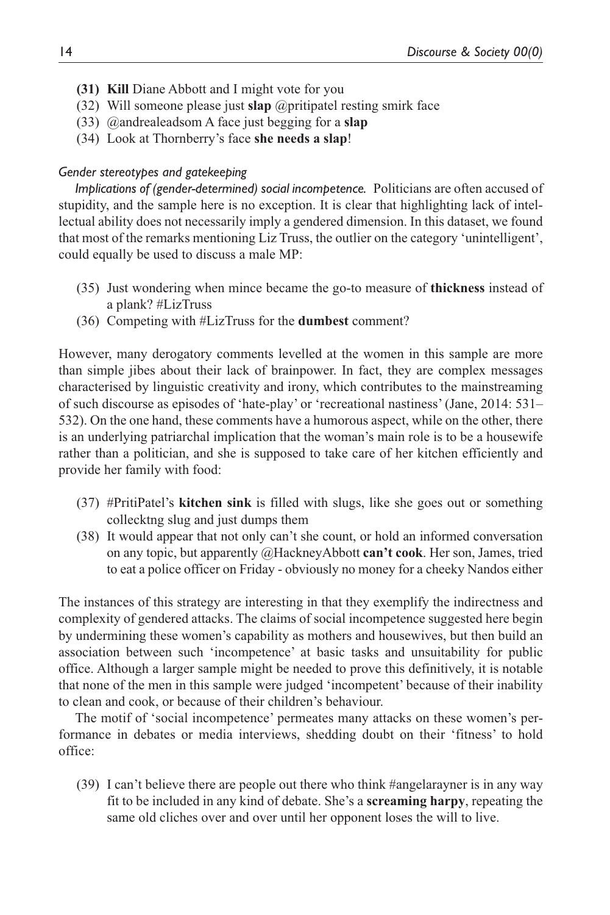- **(31) Kill** Diane Abbott and I might vote for you
- (32) Will someone please just **slap** @pritipatel resting smirk face
- (33) @andrealeadsom A face just begging for a **slap**
- (34) Look at Thornberry's face **she needs a slap**!

## *Gender stereotypes and gatekeeping*

*Implications of (gender-determined) social incompetence.* Politicians are often accused of stupidity, and the sample here is no exception. It is clear that highlighting lack of intellectual ability does not necessarily imply a gendered dimension. In this dataset, we found that most of the remarks mentioning Liz Truss, the outlier on the category 'unintelligent', could equally be used to discuss a male MP:

- (35) Just wondering when mince became the go-to measure of **thickness** instead of a plank? #LizTruss
- (36) Competing with #LizTruss for the **dumbest** comment?

However, many derogatory comments levelled at the women in this sample are more than simple jibes about their lack of brainpower. In fact, they are complex messages characterised by linguistic creativity and irony, which contributes to the mainstreaming of such discourse as episodes of 'hate-play' or 'recreational nastiness' (Jane, 2014: 531– 532). On the one hand, these comments have a humorous aspect, while on the other, there is an underlying patriarchal implication that the woman's main role is to be a housewife rather than a politician, and she is supposed to take care of her kitchen efficiently and provide her family with food:

- (37) #PritiPatel's **kitchen sink** is filled with slugs, like she goes out or something collecktng slug and just dumps them
- (38) It would appear that not only can't she count, or hold an informed conversation on any topic, but apparently @HackneyAbbott **can't cook**. Her son, James, tried to eat a police officer on Friday - obviously no money for a cheeky Nandos either

The instances of this strategy are interesting in that they exemplify the indirectness and complexity of gendered attacks. The claims of social incompetence suggested here begin by undermining these women's capability as mothers and housewives, but then build an association between such 'incompetence' at basic tasks and unsuitability for public office. Although a larger sample might be needed to prove this definitively, it is notable that none of the men in this sample were judged 'incompetent' because of their inability to clean and cook, or because of their children's behaviour.

The motif of 'social incompetence' permeates many attacks on these women's performance in debates or media interviews, shedding doubt on their 'fitness' to hold office:

(39) I can't believe there are people out there who think #angelarayner is in any way fit to be included in any kind of debate. She's a **screaming harpy**, repeating the same old cliches over and over until her opponent loses the will to live.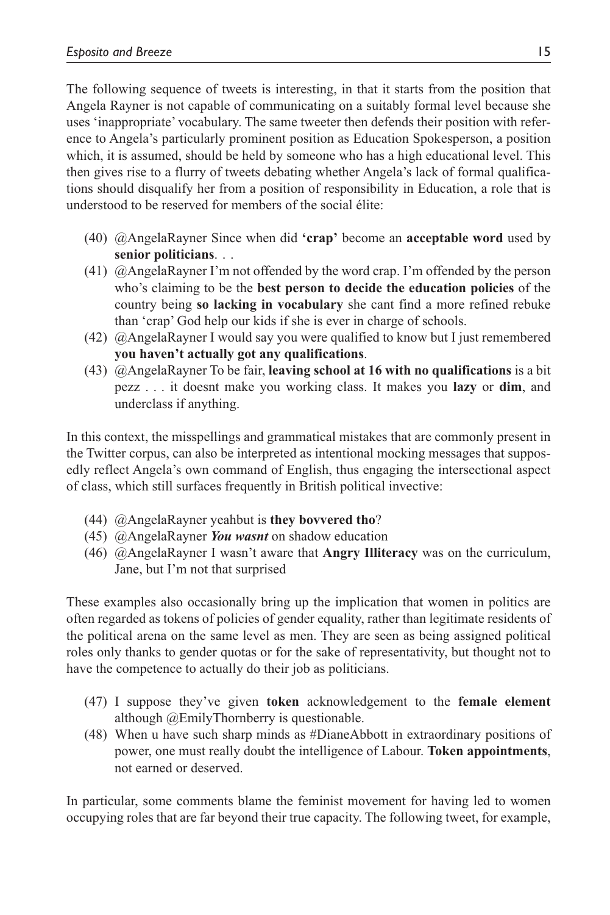The following sequence of tweets is interesting, in that it starts from the position that Angela Rayner is not capable of communicating on a suitably formal level because she uses 'inappropriate' vocabulary. The same tweeter then defends their position with reference to Angela's particularly prominent position as Education Spokesperson, a position which, it is assumed, should be held by someone who has a high educational level. This then gives rise to a flurry of tweets debating whether Angela's lack of formal qualifications should disqualify her from a position of responsibility in Education, a role that is understood to be reserved for members of the social élite:

- (40) @AngelaRayner Since when did **'crap'** become an **acceptable word** used by **senior politicians**. . .
- (41) @AngelaRayner I'm not offended by the word crap. I'm offended by the person who's claiming to be the **best person to decide the education policies** of the country being **so lacking in vocabulary** she cant find a more refined rebuke than 'crap' God help our kids if she is ever in charge of schools.
- (42) @AngelaRayner I would say you were qualified to know but I just remembered **you haven't actually got any qualifications**.
- (43) @AngelaRayner To be fair, **leaving school at 16 with no qualifications** is a bit pezz . . . it doesnt make you working class. It makes you **lazy** or **dim**, and underclass if anything.

In this context, the misspellings and grammatical mistakes that are commonly present in the Twitter corpus, can also be interpreted as intentional mocking messages that supposedly reflect Angela's own command of English, thus engaging the intersectional aspect of class, which still surfaces frequently in British political invective:

- (44) @AngelaRayner yeahbut is **they bovvered tho**?
- (45) @AngelaRayner *You wasnt* on shadow education
- (46) @AngelaRayner I wasn't aware that **Angry Illiteracy** was on the curriculum, Jane, but I'm not that surprised

These examples also occasionally bring up the implication that women in politics are often regarded as tokens of policies of gender equality, rather than legitimate residents of the political arena on the same level as men. They are seen as being assigned political roles only thanks to gender quotas or for the sake of representativity, but thought not to have the competence to actually do their job as politicians.

- (47) I suppose they've given **token** acknowledgement to the **female element** although @EmilyThornberry is questionable.
- (48) When u have such sharp minds as #DianeAbbott in extraordinary positions of power, one must really doubt the intelligence of Labour. **Token appointments**, not earned or deserved.

In particular, some comments blame the feminist movement for having led to women occupying roles that are far beyond their true capacity. The following tweet, for example,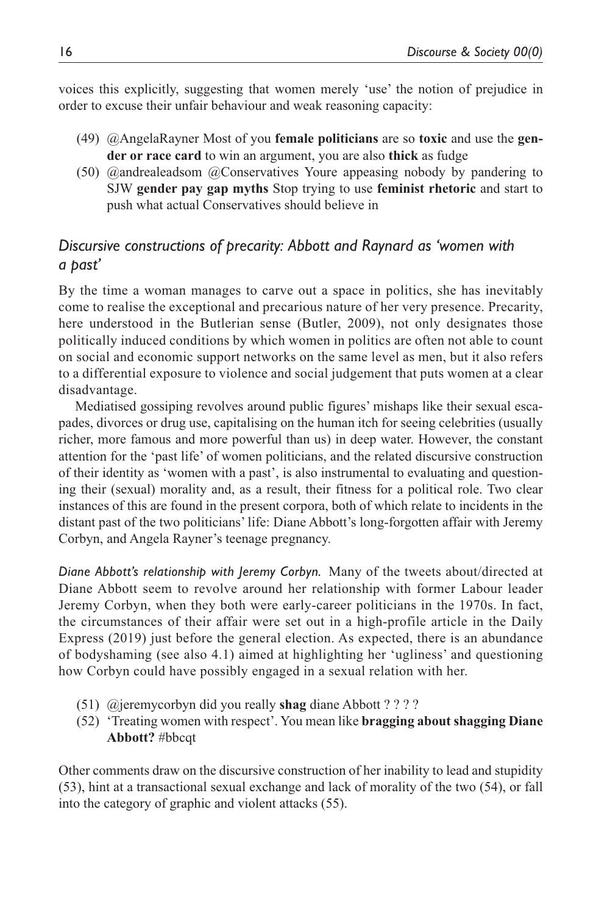voices this explicitly, suggesting that women merely 'use' the notion of prejudice in order to excuse their unfair behaviour and weak reasoning capacity:

- (49) @AngelaRayner Most of you **female politicians** are so **toxic** and use the **gender or race card** to win an argument, you are also **thick** as fudge
- (50) @andrealeadsom @Conservatives Youre appeasing nobody by pandering to SJW **gender pay gap myths** Stop trying to use **feminist rhetoric** and start to push what actual Conservatives should believe in

# *Discursive constructions of precarity: Abbott and Raynard as 'women with a past'*

By the time a woman manages to carve out a space in politics, she has inevitably come to realise the exceptional and precarious nature of her very presence. Precarity, here understood in the Butlerian sense (Butler, 2009), not only designates those politically induced conditions by which women in politics are often not able to count on social and economic support networks on the same level as men, but it also refers to a differential exposure to violence and social judgement that puts women at a clear disadvantage.

Mediatised gossiping revolves around public figures' mishaps like their sexual escapades, divorces or drug use, capitalising on the human itch for seeing celebrities (usually richer, more famous and more powerful than us) in deep water. However, the constant attention for the 'past life' of women politicians, and the related discursive construction of their identity as 'women with a past', is also instrumental to evaluating and questioning their (sexual) morality and, as a result, their fitness for a political role. Two clear instances of this are found in the present corpora, both of which relate to incidents in the distant past of the two politicians' life: Diane Abbott's long-forgotten affair with Jeremy Corbyn, and Angela Rayner's teenage pregnancy.

*Diane Abbott's relationship with Jeremy Corbyn.* Many of the tweets about/directed at Diane Abbott seem to revolve around her relationship with former Labour leader Jeremy Corbyn, when they both were early-career politicians in the 1970s. In fact, the circumstances of their affair were set out in a high-profile article in the Daily Express (2019) just before the general election. As expected, there is an abundance of bodyshaming (see also 4.1) aimed at highlighting her 'ugliness' and questioning how Corbyn could have possibly engaged in a sexual relation with her.

- (51) @jeremycorbyn did you really **shag** diane Abbott ? ? ? ?
- (52) 'Treating women with respect'. You mean like **bragging about shagging Diane Abbott?** #bbcqt

Other comments draw on the discursive construction of her inability to lead and stupidity (53), hint at a transactional sexual exchange and lack of morality of the two (54), or fall into the category of graphic and violent attacks (55).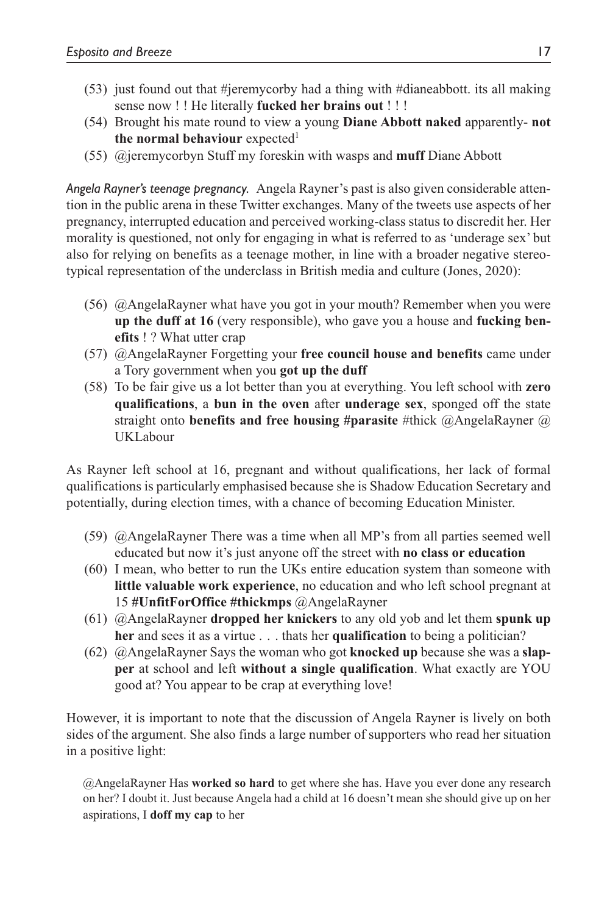- (53) just found out that #jeremycorby had a thing with #dianeabbott. its all making sense now ! ! He literally **fucked her brains out** ! ! !
- (54) Brought his mate round to view a young **Diane Abbott naked** apparently- **not the normal behaviour** expected<sup>1</sup>
- (55) @jeremycorbyn Stuff my foreskin with wasps and **muff** Diane Abbott

*Angela Rayner's teenage pregnancy.* Angela Rayner's past is also given considerable attention in the public arena in these Twitter exchanges. Many of the tweets use aspects of her pregnancy, interrupted education and perceived working-class status to discredit her. Her morality is questioned, not only for engaging in what is referred to as 'underage sex' but also for relying on benefits as a teenage mother, in line with a broader negative stereotypical representation of the underclass in British media and culture (Jones, 2020):

- (56) @AngelaRayner what have you got in your mouth? Remember when you were **up the duff at 16** (very responsible), who gave you a house and **fucking benefits** ! ? What utter crap
- (57) @AngelaRayner Forgetting your **free council house and benefits** came under a Tory government when you **got up the duff**
- (58) To be fair give us a lot better than you at everything. You left school with **zero qualifications**, a **bun in the oven** after **underage sex**, sponged off the state straight onto **benefits and free housing #parasite** #thick @AngelaRayner @ UKLabour

As Rayner left school at 16, pregnant and without qualifications, her lack of formal qualifications is particularly emphasised because she is Shadow Education Secretary and potentially, during election times, with a chance of becoming Education Minister.

- (59) @AngelaRayner There was a time when all MP's from all parties seemed well educated but now it's just anyone off the street with **no class or education**
- (60) I mean, who better to run the UKs entire education system than someone with **little valuable work experience**, no education and who left school pregnant at 15 **#UnfitForOffice #thickmps** @AngelaRayner
- (61) @AngelaRayner **dropped her knickers** to any old yob and let them **spunk up her** and sees it as a virtue . . . thats her **qualification** to being a politician?
- (62) @AngelaRayner Says the woman who got **knocked up** because she was a **slapper** at school and left **without a single qualification**. What exactly are YOU good at? You appear to be crap at everything love!

However, it is important to note that the discussion of Angela Rayner is lively on both sides of the argument. She also finds a large number of supporters who read her situation in a positive light:

@AngelaRayner Has **worked so hard** to get where she has. Have you ever done any research on her? I doubt it. Just because Angela had a child at 16 doesn't mean she should give up on her aspirations, I **doff my cap** to her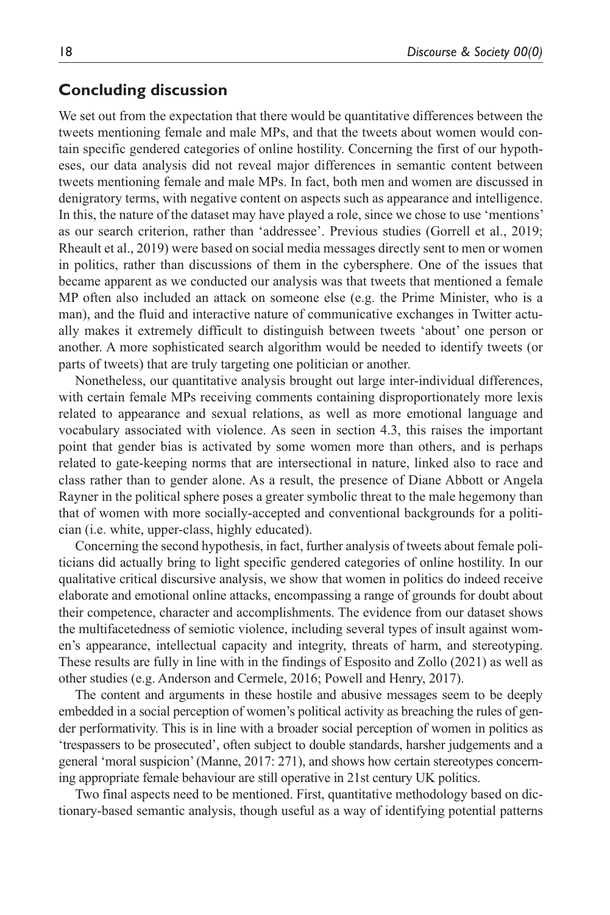## **Concluding discussion**

We set out from the expectation that there would be quantitative differences between the tweets mentioning female and male MPs, and that the tweets about women would contain specific gendered categories of online hostility. Concerning the first of our hypotheses, our data analysis did not reveal major differences in semantic content between tweets mentioning female and male MPs. In fact, both men and women are discussed in denigratory terms, with negative content on aspects such as appearance and intelligence. In this, the nature of the dataset may have played a role, since we chose to use 'mentions' as our search criterion, rather than 'addressee'. Previous studies (Gorrell et al., 2019; Rheault et al., 2019) were based on social media messages directly sent to men or women in politics, rather than discussions of them in the cybersphere. One of the issues that became apparent as we conducted our analysis was that tweets that mentioned a female MP often also included an attack on someone else (e.g. the Prime Minister, who is a man), and the fluid and interactive nature of communicative exchanges in Twitter actually makes it extremely difficult to distinguish between tweets 'about' one person or another. A more sophisticated search algorithm would be needed to identify tweets (or parts of tweets) that are truly targeting one politician or another.

Nonetheless, our quantitative analysis brought out large inter-individual differences, with certain female MPs receiving comments containing disproportionately more lexis related to appearance and sexual relations, as well as more emotional language and vocabulary associated with violence. As seen in section 4.3, this raises the important point that gender bias is activated by some women more than others, and is perhaps related to gate-keeping norms that are intersectional in nature, linked also to race and class rather than to gender alone. As a result, the presence of Diane Abbott or Angela Rayner in the political sphere poses a greater symbolic threat to the male hegemony than that of women with more socially-accepted and conventional backgrounds for a politician (i.e. white, upper-class, highly educated).

Concerning the second hypothesis, in fact, further analysis of tweets about female politicians did actually bring to light specific gendered categories of online hostility. In our qualitative critical discursive analysis, we show that women in politics do indeed receive elaborate and emotional online attacks, encompassing a range of grounds for doubt about their competence, character and accomplishments. The evidence from our dataset shows the multifacetedness of semiotic violence, including several types of insult against women's appearance, intellectual capacity and integrity, threats of harm, and stereotyping. These results are fully in line with in the findings of Esposito and Zollo (2021) as well as other studies (e.g. Anderson and Cermele, 2016; Powell and Henry, 2017).

The content and arguments in these hostile and abusive messages seem to be deeply embedded in a social perception of women's political activity as breaching the rules of gender performativity. This is in line with a broader social perception of women in politics as 'trespassers to be prosecuted', often subject to double standards, harsher judgements and a general 'moral suspicion' (Manne, 2017: 271), and shows how certain stereotypes concerning appropriate female behaviour are still operative in 21st century UK politics.

Two final aspects need to be mentioned. First, quantitative methodology based on dictionary-based semantic analysis, though useful as a way of identifying potential patterns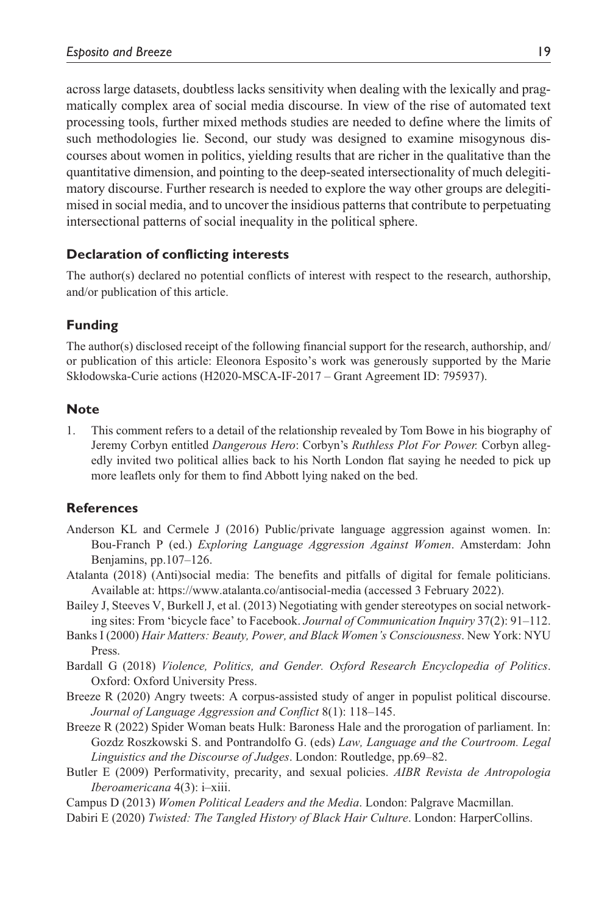across large datasets, doubtless lacks sensitivity when dealing with the lexically and pragmatically complex area of social media discourse. In view of the rise of automated text processing tools, further mixed methods studies are needed to define where the limits of such methodologies lie. Second, our study was designed to examine misogynous discourses about women in politics, yielding results that are richer in the qualitative than the quantitative dimension, and pointing to the deep-seated intersectionality of much delegitimatory discourse. Further research is needed to explore the way other groups are delegitimised in social media, and to uncover the insidious patterns that contribute to perpetuating intersectional patterns of social inequality in the political sphere.

## **Declaration of conflicting interests**

The author(s) declared no potential conflicts of interest with respect to the research, authorship, and/or publication of this article.

#### **Funding**

The author(s) disclosed receipt of the following financial support for the research, authorship, and/ or publication of this article: Eleonora Esposito's work was generously supported by the Marie Skłodowska-Curie actions (H2020-MSCA-IF-2017 – Grant Agreement ID: 795937).

#### **Note**

1. This comment refers to a detail of the relationship revealed by Tom Bowe in his biography of Jeremy Corbyn entitled *Dangerous Hero*: Corbyn's *Ruthless Plot For Power.* Corbyn allegedly invited two political allies back to his North London flat saying he needed to pick up more leaflets only for them to find Abbott lying naked on the bed.

#### **References**

- Anderson KL and Cermele J (2016) Public/private language aggression against women. In: Bou-Franch P (ed.) *Exploring Language Aggression Against Women*. Amsterdam: John Benjamins, pp.107–126.
- Atalanta (2018) (Anti)social media: The benefits and pitfalls of digital for female politicians. Available at: <https://www.atalanta.co/antisocial-media> (accessed 3 February 2022).
- Bailey J, Steeves V, Burkell J, et al. (2013) Negotiating with gender stereotypes on social networking sites: From 'bicycle face' to Facebook. *Journal of Communication Inquiry* 37(2): 91–112.
- Banks I (2000) *Hair Matters: Beauty, Power, and Black Women's Consciousness*. New York: NYU Press.
- Bardall G (2018) *Violence, Politics, and Gender. Oxford Research Encyclopedia of Politics*. Oxford: Oxford University Press.
- Breeze R (2020) Angry tweets: A corpus-assisted study of anger in populist political discourse. *Journal of Language Aggression and Conflict* 8(1): 118–145.
- Breeze R (2022) Spider Woman beats Hulk: Baroness Hale and the prorogation of parliament. In: Gozdz Roszkowski S. and Pontrandolfo G. (eds) *Law, Language and the Courtroom. Legal Linguistics and the Discourse of Judges*. London: Routledge, pp.69–82.
- Butler E (2009) Performativity, precarity, and sexual policies. *AIBR Revista de Antropologia Iberoamericana* 4(3): i–xiii.

Campus D (2013) *Women Political Leaders and the Media*. London: Palgrave Macmillan.

Dabiri E (2020) *Twisted: The Tangled History of Black Hair Culture*. London: HarperCollins.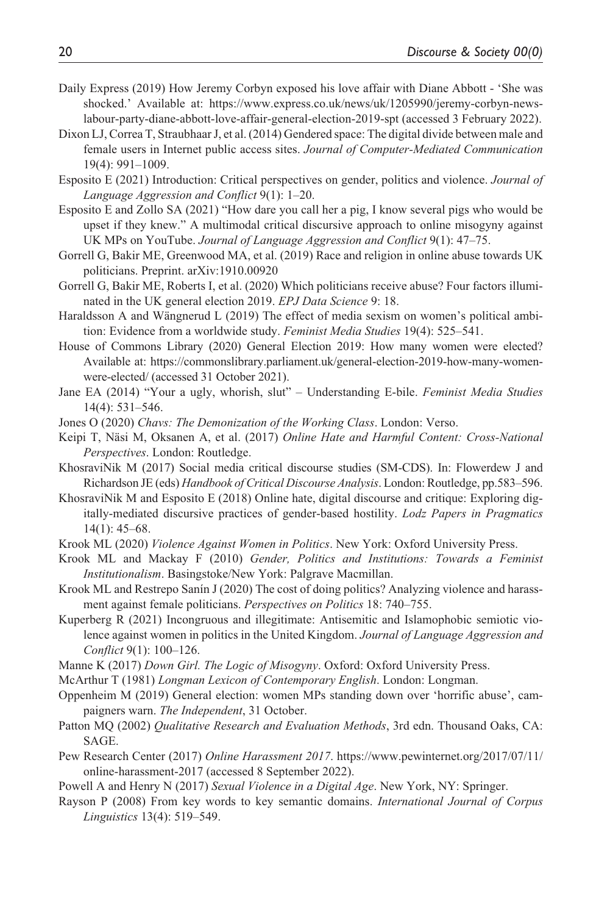- Daily Express (2019) How Jeremy Corbyn exposed his love affair with Diane Abbott 'She was shocked.' Available at: [https://www.express.co.uk/news/uk/1205990/jeremy-corbyn-news](https://www.express.co.uk/news/uk/1205990/jeremy-corbyn-news-labour-party-diane-abbott-love-affair-general-election-2019-spt)[labour-party-diane-abbott-love-affair-general-election-2019-spt](https://www.express.co.uk/news/uk/1205990/jeremy-corbyn-news-labour-party-diane-abbott-love-affair-general-election-2019-spt) (accessed 3 February 2022).
- Dixon LJ, Correa T, Straubhaar J, et al. (2014) Gendered space: The digital divide between male and female users in Internet public access sites. *Journal of Computer-Mediated Communication* 19(4): 991–1009.
- Esposito E (2021) Introduction: Critical perspectives on gender, politics and violence. *Journal of Language Aggression and Conflict* 9(1): 1–20.
- Esposito E and Zollo SA (2021) "How dare you call her a pig, I know several pigs who would be upset if they knew." A multimodal critical discursive approach to online misogyny against UK MPs on YouTube. *Journal of Language Aggression and Conflict* 9(1): 47–75.
- Gorrell G, Bakir ME, Greenwood MA, et al. (2019) Race and religion in online abuse towards UK politicians. Preprint. arXiv:1910.00920
- Gorrell G, Bakir ME, Roberts I, et al. (2020) Which politicians receive abuse? Four factors illuminated in the UK general election 2019. *EPJ Data Science* 9: 18.
- Haraldsson A and Wängnerud L (2019) The effect of media sexism on women's political ambition: Evidence from a worldwide study. *Feminist Media Studies* 19(4): 525–541.
- House of Commons Library (2020) General Election 2019: How many women were elected? Available at: [https://commonslibrary.parliament.uk/general-election-2019-how-many-women](https://commonslibrary.parliament.uk/general-election-2019-how-many-women-were-elected/)[were-elected/](https://commonslibrary.parliament.uk/general-election-2019-how-many-women-were-elected/) (accessed 31 October 2021).
- Jane EA (2014) "Your a ugly, whorish, slut" Understanding E-bile. *Feminist Media Studies* 14(4): 531–546.
- Jones O (2020) *Chavs: The Demonization of the Working Class*. London: Verso.
- Keipi T, Näsi M, Oksanen A, et al. (2017) *Online Hate and Harmful Content: Cross-National Perspectives*. London: Routledge.
- KhosraviNik M (2017) Social media critical discourse studies (SM-CDS). In: Flowerdew J and Richardson JE (eds) *Handbook of Critical Discourse Analysis*. London: Routledge, pp.583–596.
- KhosraviNik M and Esposito E (2018) Online hate, digital discourse and critique: Exploring digitally-mediated discursive practices of gender-based hostility. *Lodz Papers in Pragmatics* 14(1): 45–68.
- Krook ML (2020) *Violence Against Women in Politics*. New York: Oxford University Press.
- Krook ML and Mackay F (2010) *Gender, Politics and Institutions: Towards a Feminist Institutionalism*. Basingstoke/New York: Palgrave Macmillan.
- Krook ML and Restrepo Sanín J (2020) The cost of doing politics? Analyzing violence and harassment against female politicians. *Perspectives on Politics* 18: 740–755.
- Kuperberg R (2021) Incongruous and illegitimate: Antisemitic and Islamophobic semiotic violence against women in politics in the United Kingdom. *Journal of Language Aggression and Conflict* 9(1): 100–126.
- Manne K (2017) *Down Girl. The Logic of Misogyny*. Oxford: Oxford University Press.
- McArthur T (1981) *Longman Lexicon of Contemporary English*. London: Longman.
- Oppenheim M (2019) General election: women MPs standing down over 'horrific abuse', campaigners warn. *The Independent*, 31 October.
- Patton MQ (2002) *Qualitative Research and Evaluation Methods*, 3rd edn. Thousand Oaks, CA: SAGE.
- Pew Research Center (2017) *Online Harassment 2017*. [https://www.pewinternet.org/2017/07/11/](https://www.pewinternet.org/2017/07/11/online-harassment-2017) [online-harassment-2017](https://www.pewinternet.org/2017/07/11/online-harassment-2017) (accessed 8 September 2022).
- Powell A and Henry N (2017) *Sexual Violence in a Digital Age*. New York, NY: Springer.
- Rayson P (2008) From key words to key semantic domains. *International Journal of Corpus Linguistics* 13(4): 519–549.